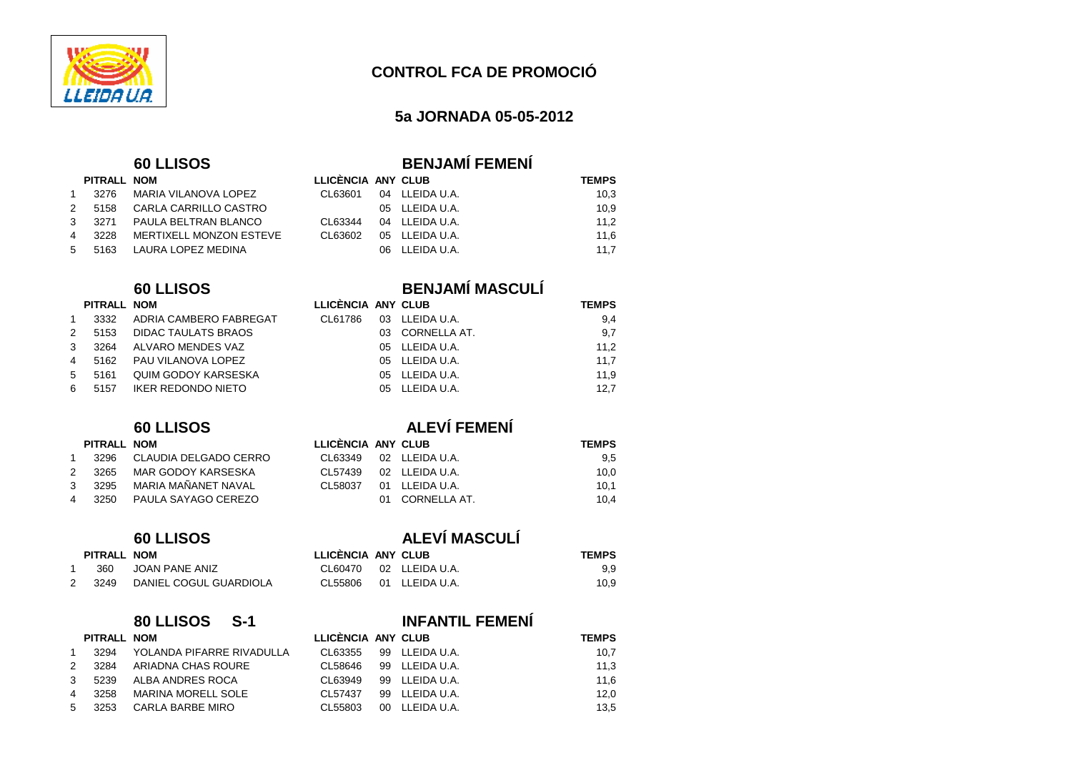

## **5a JORNADA 05-05-2012**

## $60$  LLISOS

| <b>BENJAMI FEMENI</b> |  |
|-----------------------|--|

|     | PITRALL NOM |                                | LLICÈNCIA ANY CLUB |                | <b>TEMPS</b> |
|-----|-------------|--------------------------------|--------------------|----------------|--------------|
| 1   |             | 3276 MARIA VILANOVA LOPEZ      | CL63601            | 04 LLEIDA U.A. | 10.3         |
|     |             | 2  5158  CARLA CARRILLO CASTRO |                    | 05 LLEIDA U.A. | 10.9         |
|     |             | 3 3271 PAULA BELTRAN BLANCO    | CL63344            | 04 LLEIDA U.A. | 11.2         |
|     | 4 3228      | MERTIXELL MONZON ESTEVE        | CL63602            | 05 LLEIDA U.A. | 11.6         |
| 5 — |             | 5163 LAURA LOPEZ MEDINA        |                    | 06 LLEIDA U.A. | 11.7         |

## **60 LLISOS BENJAMÍ MASCULÍ**

| PITRALL NOM |
|-------------|
|-------------|

|               |        | 3332 ADRIA CAMBERO FABREGAT | CL61786 | 03 LLEIDA U.A.  | 9.4  |
|---------------|--------|-----------------------------|---------|-----------------|------|
| $\mathcal{P}$ |        | 5153 DIDAC TAULATS BRAOS    |         | 03 CORNELLA AT. | 9.7  |
| $\mathbf{3}$  |        | 3264 ALVARO MENDES VAZ      |         | 05 LLEIDA U.A.  | 11.2 |
|               |        | 4 5162 PAU VILANOVA LOPEZ   |         | 05 LLEIDA U.A.  | 11.7 |
|               | 5 5161 | QUIM GODOY KARSESKA         |         | 05 LLEIDA U.A.  | 11.9 |
|               |        | 6 5157 IKER REDONDO NIETO   |         | 05 LLEIDA U.A.  | 12.7 |

## 2 3265 MAR GODOY KARSESKA 3 3295 MARIA MAÑANET NAVAL 4 3250 PAULA SAYAGO CEREZO

| PITRALL NOM |                        | LLICENCIA ANY CLUB |                       | <b>TEMPS</b> |  |
|-------------|------------------------|--------------------|-----------------------|--------------|--|
| 360         | JOAN PANE ANIZ         |                    | CL60470 02 LLEIDAU.A. | 9.9          |  |
| 3249        | DANIEL COGUL GUARDIOLA | CL55806            | 01 LLEIDA U.A.        | 10.9         |  |

## **80 LLISOS S-1 INFANTIL FEMENÍ PITRALL NOM LLICÈNCIA ANY CLUB TEMPS**  <sup>1</sup> 3294 YOLANDA PIFARRE RIVADULLA CL63355 99 LLEIDA U.A. 10,7 $11,3$ 2 3284 ARIADNA CHAS ROURE CL58646 99 LLEIDA U.A. 11,6 3 5239 ALBA ANDRES ROCA CL63949 99 LLEIDA U.A.  $12,0$ 4 3258 MARINA MORELL SOLE CL57437 99 LLEIDA U.A. 13,5 5 3253 CARLA BARBE MIRO CL55803 00 LLEIDA U.A.

## **60 LLISOS ALEVÍ FEMENÍ**

**PITRALL NOM LLICÈNCIA ANY CLUB TEMPS**  033 LLEIDA U.A. 9,4

9.7

 $11,2$ 

11,9

|              | PITRALL NOM |                       | LLICENCIA ANY CLUB |     |                | <b>TEMPS</b> |
|--------------|-------------|-----------------------|--------------------|-----|----------------|--------------|
| $\mathbf{1}$ | 3296        | CLAUDIA DELGADO CERRO | CL63349            |     | 02 LLEIDA U.A. | 9,5          |
| 2            | 3265        | MAR GODOY KARSESKA    | CL57439            |     | 02 LLEIDA U.A. | 10,0         |
| $\mathbf{3}$ | 3295        | MARIA MAÑANET NAVAL   | CL 58037           |     | 01 LLEIDA U.A. | 10.1         |
|              | 4 3250      | PAULA SAYAGO CEREZO   |                    | O1. | CORNELLA AT.   | 10.4         |

# **60 LLISOS ALEVÍ MASCULÍ**

05 LLEIDA U.A. 12,7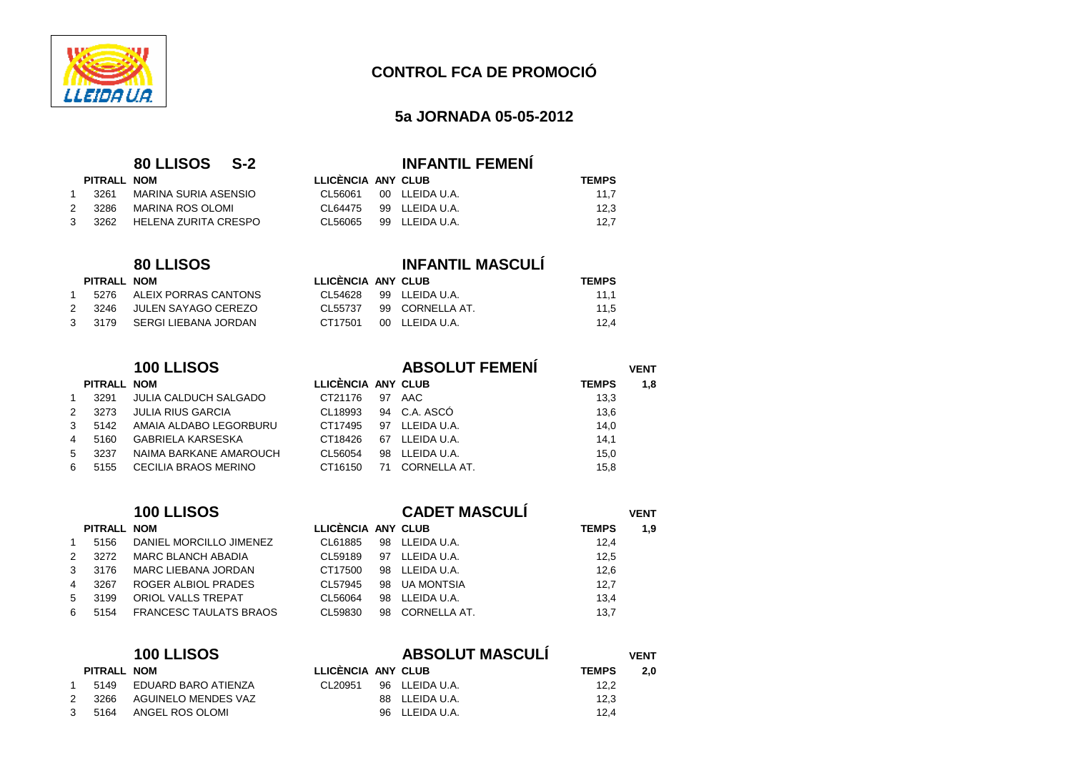

## **5a JORNADA 05-05-2012**

11,5

 $12,4$ 

## **80 LLISOS S-2 INFANTIL FEMENÍ**

|   | PITRALL NOM |                      | LLICENCIA ANY CLUB |                        | <b>TEMPS</b> |
|---|-------------|----------------------|--------------------|------------------------|--------------|
|   | 3261        | MARINA SURIA ASENSIO |                    | CL56061 00 LLEIDAU.A.  | 11.7         |
| 2 | 3286        | MARINA ROS OLOMI     |                    | CL64475 99 LLEIDA U.A. | 12.3         |
| 3 | 3262        | HELENA ZURITA CRESPO | CL 56065           | 99 LLEIDA U.A.         | 12.7         |

## **80 LLISOS INFANTIL MASCULÍ**

## **PITRALL NOM LLICÈNCIA ANY CLUB TEMPS**

 $PITRALL$  **NOM** 

|  | 5276 ALEIX PORRAS CANTONS   | CL54628 99 LLEIDAU.A. |                         | 11,1 |
|--|-----------------------------|-----------------------|-------------------------|------|
|  | 2 3246 JULEN SAYAGO CEREZO  |                       | CL55737 99 CORNELLA AT. | 11,5 |
|  | 3 3179 SERGI LIEBANA JORDAN | CT17501 00 LLEIDAU.A. |                         | 12.4 |

|    |             | 100 LLISOS                   |                    |    | <b>ABSOLUT FEMENI</b> |              | <b>VENT</b> |
|----|-------------|------------------------------|--------------------|----|-----------------------|--------------|-------------|
|    | PITRALL NOM |                              | LLICÈNCIA ANY CLUB |    |                       | <b>TEMPS</b> | 1,8         |
|    | 3291        | <b>JULIA CALDUCH SALGADO</b> | CT21176            | 97 | AAC                   | 13,3         |             |
|    | 3273        | <b>JULIA RIUS GARCIA</b>     | CL18993            |    | 94 C.A. ASCÓ          | 13,6         |             |
| 3  | 5142        | AMAIA ALDABO LEGORBURU       | CT17495            | 97 | LLEIDA U.A.           | 14,0         |             |
| 4  | 5160        | <b>GABRIELA KARSESKA</b>     | CT18426            | 67 | LLEIDA U.A.           | 14,1         |             |
| 5  | 3237        | NAIMA BARKANE AMAROUCH       | CL56054            | 98 | LLEIDA U.A.           | 15,0         |             |
| 6. | 5155        | <b>CECILIA BRAOS MERINO</b>  | CT16150            | 71 | CORNELLA AT.          | 15,8         |             |

|    |             | 100 LLISOS                    |                    |    | <b>CADET MASCULI</b> |              | <b>VENT</b> |
|----|-------------|-------------------------------|--------------------|----|----------------------|--------------|-------------|
|    | PITRALL NOM |                               | LLICÈNCIA ANY CLUB |    |                      | <b>TEMPS</b> | 1,9         |
|    | 5156        | DANIEL MORCILLO JIMENEZ       | CL61885            |    | 98 LLEIDA U.A.       | 12,4         |             |
|    | 3272        | MARC BLANCH ABADIA            | CL59189            | 97 | LLEIDA U.A.          | 12,5         |             |
| 3  | 3176        | MARC LIEBANA JORDAN           | CT17500            |    | 98 LLEIDA U.A.       | 12,6         |             |
| 4  | 3267        | ROGER ALBIOL PRADES           | CL57945            |    | 98 UA MONTSIA        | 12,7         |             |
| 5. | 3199        | ORIOL VALLS TREPAT            | CL56064            |    | 98 LLEIDA U.A.       | 13,4         |             |
| 6. | 5154        | <b>FRANCESC TAULATS BRAOS</b> | CL59830            | 98 | CORNELLA AT.         | 13,7         |             |

|               |             | <b>100 LLISOS</b>   |                    |     | <b>ABSOLUT MASCULÍ</b> |              | VENT |  |
|---------------|-------------|---------------------|--------------------|-----|------------------------|--------------|------|--|
|               | PITRALL NOM |                     | LLICÈNCIA ANY CLUB |     |                        | <b>TEMPS</b> | 2.0  |  |
|               | 5149        | EDUARD BARO ATIENZA | CL20951            |     | 96 LLEIDA U.A.         | 12,2         |      |  |
| $\mathcal{P}$ | 3266        | AGUINELO MENDES VAZ |                    |     | 88 LLEIDA U.A.         | 12.3         |      |  |
| $\mathcal{S}$ | 5164        | ANGEL ROS OLOMI     |                    | 96. | LLEIDA U.A.            | 12,4         |      |  |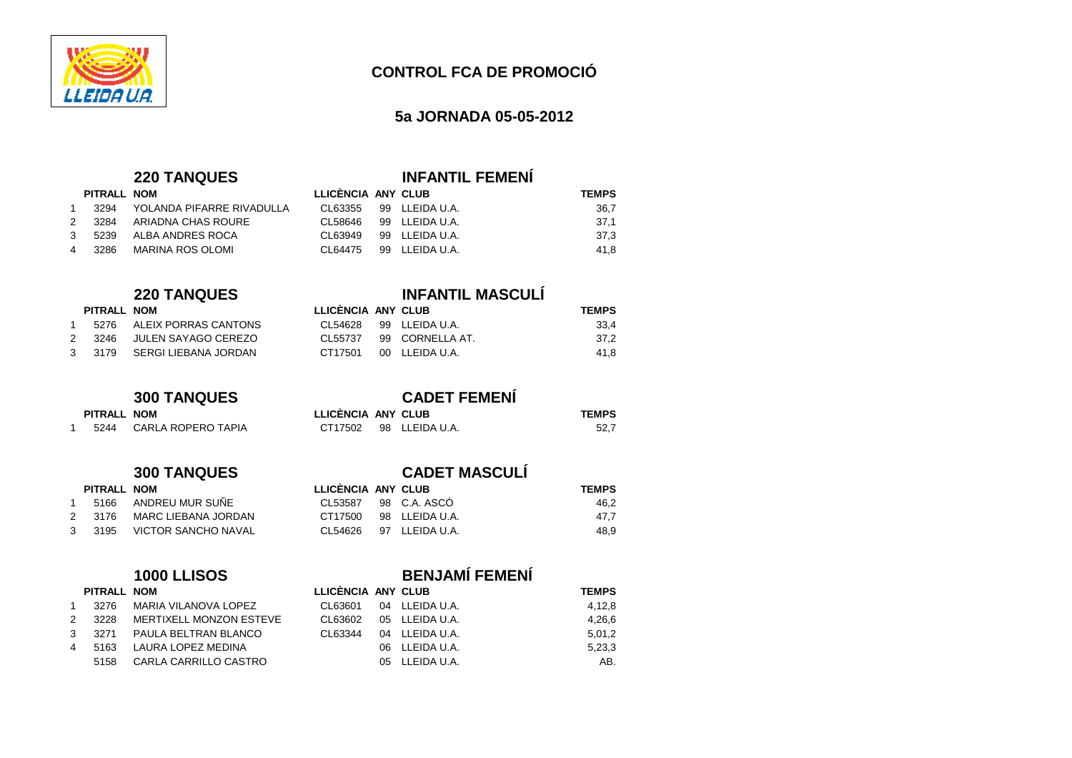

## **5a JORNADA 05-05-2012**

|                | <b>220 TANQUES</b> | <b>INFANTIL FEMENI</b> |
|----------------|--------------------|------------------------|
| ---- -- - ---- |                    | $\cdots$               |

|   | PITRALL NOM |                           | LLICENCIA ANY CLUB |                | <b>TEMPS</b> |  |
|---|-------------|---------------------------|--------------------|----------------|--------------|--|
|   | 3294        | YOLANDA PIFARRE RIVADULLA | CL63355            | 99 LLEIDA U.A. | 36,7         |  |
|   | 2 3284      | ARIADNA CHAS ROURE        | CI 58646           | 99 LLEIDA U.A. | -37.1        |  |
| 3 | 5239        | ALBA ANDRES ROCA          | CL 63949           | 99 LLEIDA U.A. | 37.3         |  |
| 4 | 3286        | MARINA ROS OLOMI          | CI 64475           | 99 LLEIDA U.A. | 41.8         |  |

## **220 TANQUES INFANTIL MASCULÍ**

| PITRALL NOM |                             | LLICENCIA ANY CLUB |                       | <b>TEMPS</b> |
|-------------|-----------------------------|--------------------|-----------------------|--------------|
| 5276        | ALEIX PORRAS CANTONS        |                    | CL54628 99 LLEIDAU.A. | 33.4         |
| 2 3246      | JULEN SAYAGO CEREZO         | CI 55737           | 99 CORNELLA AT.       | 37,2         |
|             | 3 3179 SERGI LIEBANA JORDAN | CT17501            | 00 LLEIDA U.A.        | 41.8         |

## **300 TANQUES CADET FEMENÍ**

| LLICÈNCIA ANY CLUB |                        | <b>TEMPS</b> |
|--------------------|------------------------|--------------|
|                    | CT17502 98 LLEIDA U.A. | 52.7         |

|               | PITRALL NOM |                            |
|---------------|-------------|----------------------------|
| 1             | 5166        | ANDREU MUR SUÑE            |
| $\mathcal{P}$ | 3176        | <b>MARC LIEBANA JORDAN</b> |
| $\mathbf{3}$  | 3195        | VICTOR SANCHO NAVAL        |

1 5244 CARLA ROPERO TAPIA

 $PITRALL$  **NOM** 

|               | PITRALL NOM |                                |
|---------------|-------------|--------------------------------|
| -1            | 3276        | <b>MARIA VILANOVA LOPEZ</b>    |
| $\mathcal{P}$ | 3228        | <b>MERTIXELL MONZON ESTEVE</b> |
| 3             | 3271        | PAULA BELTRAN BLANCO           |
| 4             | 5163        | <b>LAURA LOPEZ MEDINA</b>      |
|               | 5158        | CARLA CARRILLO CASTRO          |

## **300 TANQUES CADET MASCULÍ**

| PITRALL NOM |                                        | LLICENCIA ANY CLUB |                | <b>TEMPS</b> |
|-------------|----------------------------------------|--------------------|----------------|--------------|
|             | 5166 ANDREU MUR SUÑE                   | CI 53587           | 98 C.A. ASCO   | 46.2         |
| 2  3176     | MARC LIEBANA JORDAN                    | CT17500            | 98 LLEIDA U.A. | 47.7         |
|             | 3       3195       VICTOR SANCHO NAVAL | CL 54626           | 97 LLEIDA U.A. | 48.9         |

## **1000 LLISOS BENJAMÍ FEMENÍ**

| PITRALL NOM |                         | LLICÈNCIA ANY CLUB |                | <b>TEMPS</b> |  |
|-------------|-------------------------|--------------------|----------------|--------------|--|
| 3276        | MARIA VILANOVA LOPEZ    | CL63601            | 04 LLEIDA U.A. | 4,12,8       |  |
| 3228        | MERTIXELL MONZON ESTEVE | CL63602            | 05 LLEIDA U.A. | 4,26,6       |  |
| 3271        | PAULA BELTRAN BLANCO    | CL63344            | 04 LLEIDA U.A. | 5,01,2       |  |
| 5163        | LAURA LOPEZ MEDINA      |                    | 06 LLEIDA U.A. | 5,23,3       |  |
| 5158        | CARLA CARRILLO CASTRO   |                    | 05 LLEIDA U.A. | AB.          |  |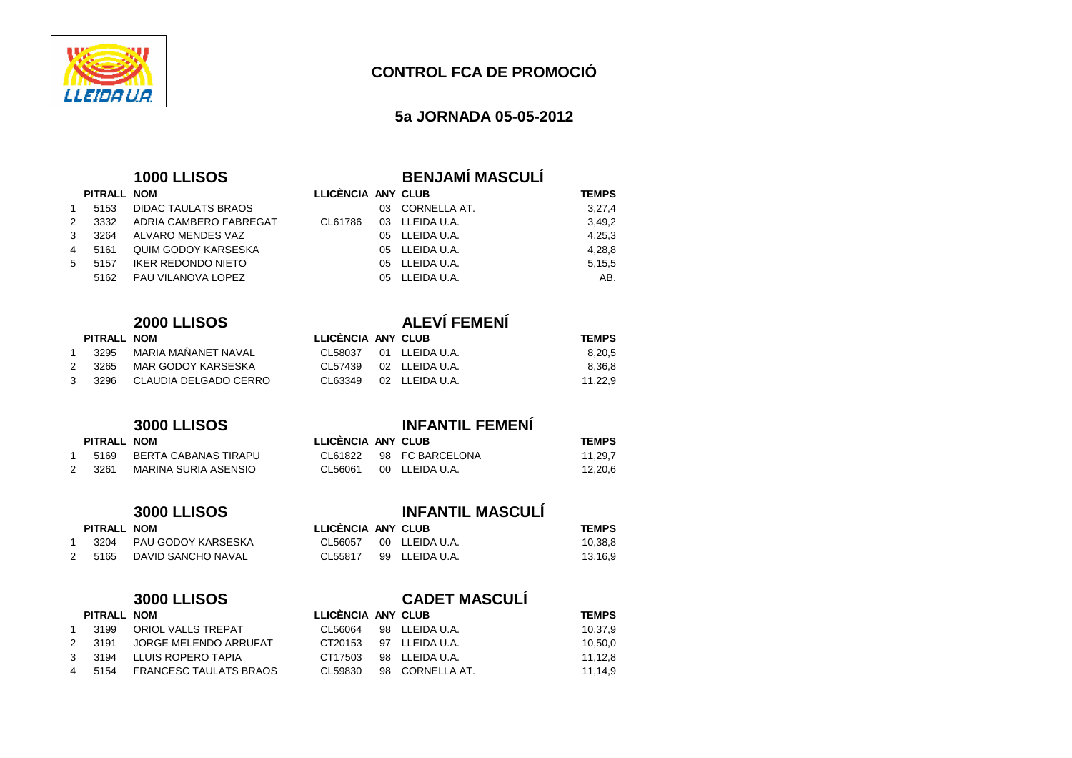

## **5a JORNADA 05-05-2012**

|    | PITRALL NOM |                            |
|----|-------------|----------------------------|
| -1 | 5153        | DIDAC TAULATS BRAOS        |
| 2  | 3332        | ADRIA CAMBERO FABREGAT     |
| 3  | 3264        | ALVARO MENDES VAZ          |
| 4  | 5161        | <b>QUIM GODOY KARSESKA</b> |
| .5 | 5157        | <b>IKER REDONDO NIETO</b>  |
|    | 5162        | PAU VILANOVA LOPEZ         |

## **2000 LLISOS ALEVÍ FEMENÍ**

|   | PITRALL NOM |                              | LLICENCIA ANY CLUB |                | <b>TEMPS</b> |  |
|---|-------------|------------------------------|--------------------|----------------|--------------|--|
|   |             | 3295 MARIA MAÑANET NAVAL     | CL 58037           | 01 LLEIDA U.A. | 8.20.5       |  |
| 2 |             | 3265 MAR GODOY KARSESKA      | CL57439            | 02 LLEIDA U.A. | 8.36.8       |  |
| 3 |             | 3296   CLAUDIA DELGADO CERRO | CL63349            | 02 LLEIDA U.A. | 11.22.9      |  |

| PITRALL NOM |                      |
|-------------|----------------------|
| 5169        | BERTA CABANAS TIRAPL |
| 2 3261      | MARINA SURIA ASENSIO |

1 3204 PAU GODOY KARSESKA 2 5165 DAVID SANCHO NAVAL

 $PITRALL$  **NOM** 

## **3000 LLISOS INFANTIL MASCULÍ**

| LLICÈNCIA ANY CLUB |                       | <b>TEMPS</b> |
|--------------------|-----------------------|--------------|
|                    | CL56057 00 LLEIDAU.A. | 10,38,8      |
|                    | CL55817 99 LLEIDAU.A. | 13,16,9      |

## **3000 LLISOS CADET MASCULÍ**

| PITRALL NOM |                                          | LLICÈNCIA ANY CLUB |                 | <b>TEMPS</b> |
|-------------|------------------------------------------|--------------------|-----------------|--------------|
| 3199        | ORIOL VALLS TREPAT                       | CI 56064           | 98 LLEIDA U.A.  | 10.37.9      |
|             | 2       3191       JORGE MELENDO ARRUFAT | CT20153            | 97 LLEIDA U.A.  | 10,50,0      |
| 3 3194      | LLUIS ROPERO TAPIA                       | CT17503            | 98 LLEIDA U.A.  | 11.12.8      |
| 5154        | FRANCESC TAULATS BRAOS                   | CL 59830           | 98 CORNELLA AT. | 11.14.9      |

# **1000 LLISOS BENJAMÍ MASCULÍ**

|    | PITRALL NOM |                        | LLICÈNCIA ANY CLUB |                 | <b>TEMPS</b> |
|----|-------------|------------------------|--------------------|-----------------|--------------|
| 1. | 5153        | DIDAC TAULATS BRAOS    |                    | 03 CORNELLA AT. | 3,27,4       |
| 2  | 3332        | ADRIA CAMBERO FABREGAT | CL61786            | 03 LLEIDA U.A.  | 3,49,2       |
| 3  | 3264        | ALVARO MENDES VAZ      |                    | 05 LLEIDA U.A.  | 4,25,3       |
| 4  | 5161        | QUIM GODOY KARSESKA    |                    | 05 LLEIDA U.A.  | 4,28,8       |
| 5. | 5157        | IKER REDONDO NIETO     |                    | 05 LLEIDA U.A.  | 5,15,5       |
|    | 5162        | PAU VILANOVA LOPEZ     |                    | 05 LLEIDA U.A.  | AB.          |
|    |             |                        |                    |                 |              |

|  | 439 - UZ ELEIDA U.A.      |  |
|--|---------------------------|--|
|  | 349      02   LLEIDA U.A. |  |
|  |                           |  |

## **3000 LLISOS INFANTIL FEMENÍ**

| PITRALL NOM |                      | LLICENCIA ANY CLUB |                 | <b>TEMPS</b> |
|-------------|----------------------|--------------------|-----------------|--------------|
| 5169        | BERTA CABANAS TIRAPU | CL61822            | 98 FC BARCELONA | 11.29.7      |
| 3261        | MARINA SURIA ASENSIO | CL56061            | 00 LLEIDA U.A.  | 12.20.6      |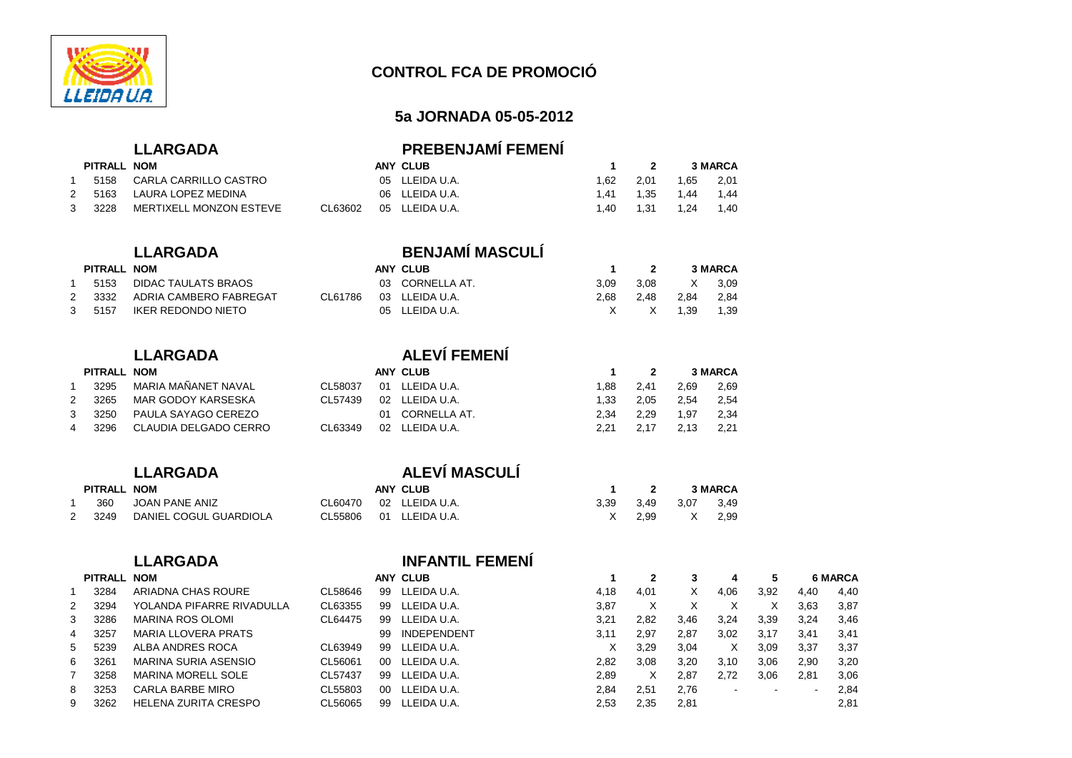

## **5a JORNADA 05-05-2012**

| <b>PREBENJAMI FEMENI</b> |
|--------------------------|
|                          |

| PITRALL NOM |                         |         | ANY CLUB       |      |           |           | <b>3 MARCA</b> |
|-------------|-------------------------|---------|----------------|------|-----------|-----------|----------------|
| 5158        | CARLA CARRILLO CASTRO   |         | 05 LLEIDA U.A. | . 62 | 2.01      | 1,65 2,01 |                |
| 5163        | LAURA LOPEZ MEDINA      |         | 06 LLEIDA U.A. | l.41 | 1.35 1.44 |           | 1.44           |
| 3228        | MERTIXELL MONZON ESTEVE | CL63602 | 05 LLEIDA U.A. | .40  | 1.31      | 1.24      | 1,40           |

## **PITRALL NOM**

| $\overline{1}$ | 5153   | DIDAC TAULATS BRAOS    |  |
|----------------|--------|------------------------|--|
|                | 2 3332 | ADRIA CAMBERO FABREGAT |  |
| 3              | 5157   | IKER REDONDO NIETO     |  |

## **PITRALL NOM**

| $\overline{1}$ |        | 3295 MARIA MAÑANET NAVAL     |  |
|----------------|--------|------------------------------|--|
|                | 2 3265 | MAR GODOY KARSESKA           |  |
|                | 3 3250 | PAULA SAYAGO CEREZO          |  |
|                |        | 4 3296 CLAUDIA DELGADO CERRO |  |

|               | PITRALL NOM |                             |
|---------------|-------------|-----------------------------|
|               |             | JOAN PANE ANIZ              |
| $\mathcal{P}$ |             | 3249 DANIEL COGUL GUARDIOLA |

## **LLARGADA INFANTIL FEMENÍ PITRALL NOM**

|   | PITRALL NOM |                            |         |    | <b>ANY CLUB</b>    |      |      |      |      |      |      | <b>6 MARCA</b> |
|---|-------------|----------------------------|---------|----|--------------------|------|------|------|------|------|------|----------------|
|   | 3284        | ARIADNA CHAS ROURE         | CL58646 | 99 | LLEIDA U.A.        | 4.18 | 4.01 | x    | 4,06 | 3,92 | 4,40 | 4.40           |
| 2 | 3294        | YOLANDA PIFARRE RIVADULLA  | CL63355 | 99 | LLEIDA U.A.        | 3.87 | х    |      |      | х    | 3,63 | 3,87           |
| 3 | 3286        | <b>MARINA ROS OLOMI</b>    | CL64475 | 99 | LLEIDA U.A.        | 3.21 | 2.82 | 3,46 | 3,24 | 3,39 | 3,24 | 3,46           |
| 4 | 3257        | <b>MARIA LLOVERA PRATS</b> |         | 99 | <b>INDEPENDENT</b> | 3,11 | 2.97 | 2.87 | 3,02 | 3,17 | 3,41 | 3,41           |
| 5 | 5239        | ALBA ANDRES ROCA           | CL63949 | 99 | LLEIDA U.A.        | X    | 3,29 | 3,04 | X.   | 3,09 | 3,37 | 3,37           |
| 6 | 3261        | MARINA SURIA ASENSIO       | CL56061 | 00 | LLEIDA U.A.        | 2.82 | 3.08 | 3,20 | 3,10 | 3,06 | 2,90 | 3,20           |
|   | 3258        | <b>MARINA MORELL SOLE</b>  | CL57437 | 99 | LLEIDA U.A.        | 2,89 |      | 2.87 | 2.72 | 3,06 | 2,81 | 3,06           |
| 8 | 3253        | CARLA BARBE MIRO           | CL55803 | 00 | LLEIDA U.A.        | 2.84 | 2.51 | 2,76 |      |      |      | 2,84           |
| 9 | 3262        | HELENA ZURITA CRESPO       | CL56065 | 99 | LLEIDA U.A.        | 2,53 | 2.35 | 2.81 |      |      |      | 2,81           |

## **LLARGADA BENJAMÍ MASCULÍ**

| PITRALL NOM |                        |         | ANY CLUB        |      |           |        | <b>3 MARCA</b> |
|-------------|------------------------|---------|-----------------|------|-----------|--------|----------------|
| 5153        | DIDAC TAULATS BRAOS    |         | 03 CORNELLA AT. | 3.09 | 3.08      | X 3.09 |                |
| 3332        | ADRIA CAMBERO FABREGAT | CL61786 | 03 LLEIDA U.A.  | 2.68 | 2.48 2.84 |        | 2.84           |
| 5157        | IKER REDONDO NIETO     |         | 05 LLEIDA U.A.  |      | X X 1.39  |        | 1,39           |

## **LLARGADA ALEVÍ FEMENÍ**

| PITRALL NOM |                              |          | ANY CLUB        |       | 2     |      | <b>3 MARCA</b> |
|-------------|------------------------------|----------|-----------------|-------|-------|------|----------------|
|             | 3295 MARIA MAÑANET NAVAL     | CL58037  | 01 LLEIDA U.A.  | 1.88. | -2.41 | 2.69 | 2,69           |
| 2 3265      | MAR GODOY KARSESKA           | CI 57439 | 02 LLEIDA U.A.  | 1.33. | 2.05  | 2.54 | 2,54           |
|             | 3  3250  PAULA SAYAGO CEREZO |          | 01 CORNELLA AT. | 2.34  | 2.29  | 1.97 | 2,34           |
| 4 3296      | CLAUDIA DELGADO CERRO        | CL63349  | 02 LLEIDA U.A.  | 2.21  | 2.17  | 2.13 | 2,21           |

## **LLARGADA ALEVÍ MASCULÍ**

| PITRALL NOM |                        |         | ANY CLUB               |      |        |      | <b>3 MARCA</b> |
|-------------|------------------------|---------|------------------------|------|--------|------|----------------|
| 360         | JOAN PANE ANIZ         |         | CL60470 02 LLEIDA U.A. | 3.39 | - 3.49 | 3.07 | 3.49           |
| 3249        | DANIEL COGUL GUARDIOLA | CL55806 | 01 LLEIDA U.A.         |      | 2.99   | X    | 2.99           |

 $3,46$ 

3,06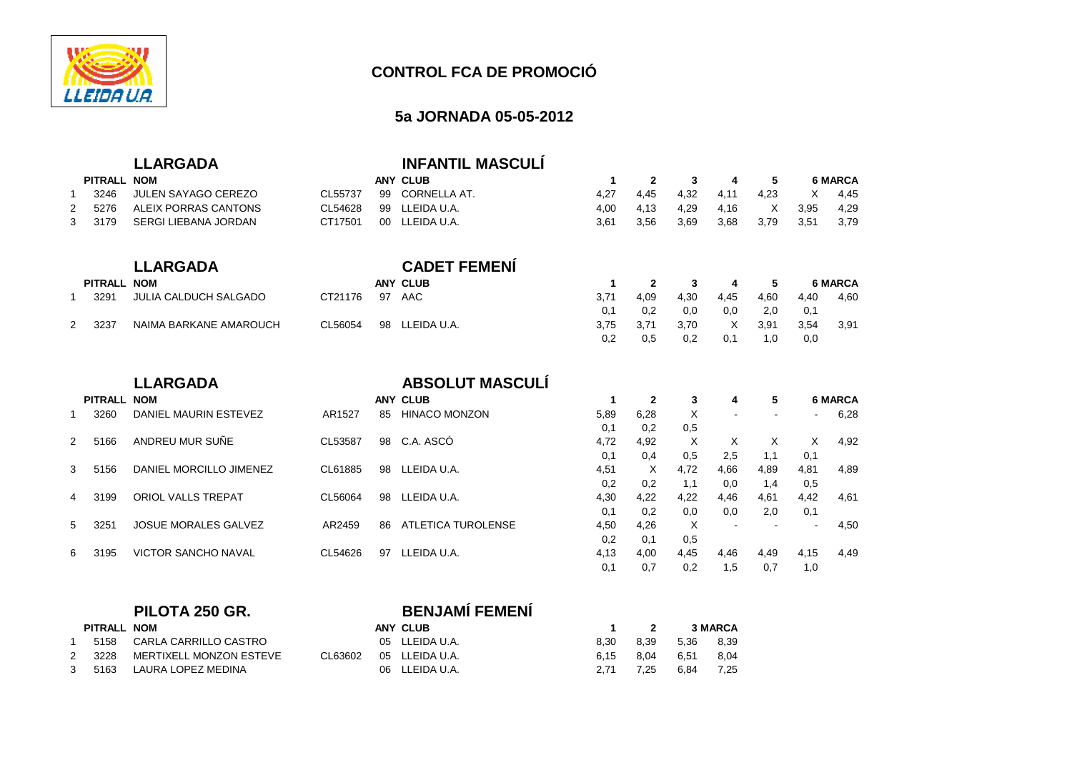

## **5a JORNADA 05-05-2012**

## **LLARGADA INFANTIL MASCULÍ**

|   | PITRALL NOM |                      |         | <b>ANY CLUB</b> |      |      | 2 3 4 5 |                    |        |              | 6 MARCA |
|---|-------------|----------------------|---------|-----------------|------|------|---------|--------------------|--------|--------------|---------|
|   | 3246        | JULEN SAYAGO CEREZO  | CL55737 | 99 CORNELLA AT. | 4.27 | 4.45 |         | 4.32   4.11   4.23 |        | $\mathsf{X}$ | 4.45    |
|   | 5276        | ALEIX PORRAS CANTONS | CL54628 | 99 LLEIDA U.A.  | 4.00 | 4.13 |         |                    |        | 3.95         | 4,29    |
| 3 | 3179        | SERGI LIEBANA JORDAN | CT17501 | 00 LLEIDA U.A.  | 3.61 | 3.56 | 3,69    | 3,68               | - 3.79 | - 3.51       | 3.79    |

|   |             | <b>LLARGADA</b>        |         |    | <b>CADET FEMENI</b> |      |                |      |      |      |      |                |
|---|-------------|------------------------|---------|----|---------------------|------|----------------|------|------|------|------|----------------|
|   | PITRALL NOM |                        |         |    | ANY CLUB            |      | $\overline{2}$ | 3    | 4    | 5.   |      | <b>6 MARCA</b> |
|   | 3291        | JULIA CALDUCH SALGADO  | CT21176 | 97 | AAC                 | 3.71 | 4.09           | 4.30 | 4,45 | 4,60 | 4.40 | 4.60           |
|   |             |                        |         |    |                     |      | 0.2            | 0.0  | 0.0  | 2.0  | 0.1  |                |
| 2 | 3237        | NAIMA BARKANE AMAROUCH | CL56054 | 98 | LLEIDA U.A.         | 3.75 | 3.7'           | 3.70 | X    | 3,91 | 3,54 | 3.91           |
|   |             |                        |         |    |                     | 0,2  | 0.5            | 0,2  | 0.7  | 1.0  | 0,0  |                |

|    |             | <b>LLARGADA</b>             |         |    | <b>ABSOLUT MASCULI</b>    |      |             |      |      |      |      |                |
|----|-------------|-----------------------------|---------|----|---------------------------|------|-------------|------|------|------|------|----------------|
|    | PITRALL NOM |                             |         |    | <b>ANY CLUB</b>           |      | $\mathbf 2$ | 3    | 4    | 5    |      | <b>6 MARCA</b> |
|    | 3260        | DANIEL MAURIN ESTEVEZ       | AR1527  | 85 | <b>HINACO MONZON</b>      | 5,89 | 6.28        | X    |      |      |      | 6,28           |
|    |             |                             |         |    |                           | 0,1  | 0.2         | 0,5  |      |      |      |                |
|    | 5166        | ANDREU MUR SUÑE             | CL53587 | 98 | C.A. ASCÓ                 | 4,72 | 4,92        | X    | X    | X    | X    | 4,92           |
|    |             |                             |         |    |                           | 0,1  | 0,4         | 0.5  | 2.5  | 1,1  | 0,1  |                |
| 3  | 5156        | DANIEL MORCILLO JIMENEZ     | CL61885 | 98 | LLEIDA U.A.               | 4,51 | X           | 4.72 | 4.66 | 4,89 | 4,81 | 4,89           |
|    |             |                             |         |    |                           | 0,2  | 0.2         | 1.1  | 0.0  | 1,4  | 0,5  |                |
| 4  | 3199        | <b>ORIOL VALLS TREPAT</b>   | CL56064 | 98 | LLEIDA U.A.               | 4,30 | 4.22        | 4.22 | 4.46 | 4,61 | 4,42 | 4,61           |
|    |             |                             |         |    |                           | 0,1  | 0.2         | 0.0  | 0.0  | 2.0  | 0,1  |                |
| 5. | 3251        | <b>JOSUE MORALES GALVEZ</b> | AR2459  | 86 | <b>ATLETICA TUROLENSE</b> | 4,50 | 4,26        | X    |      |      |      | 4,50           |
|    |             |                             |         |    |                           | 0,2  | 0.1         | 0,5  |      |      |      |                |
| 6. | 3195        | <b>VICTOR SANCHO NAVAL</b>  | CL54626 | 97 | LLEIDA U.A.               | 4,13 | 4,00        | 4,45 | 4,46 | 4,49 | 4,15 | 4,49           |
|    |             |                             |         |    |                           | 0,1  | 0.7         | 0.2  | 1,5  | 0.7  | 1,0  |                |

## **PILOTA 250 GR. BENJAMÍ FEMENÍ**

| PITRALL NOM |                            |         | ANY CLUB       |      |      |           | <b>3 MARCA</b> |
|-------------|----------------------------|---------|----------------|------|------|-----------|----------------|
|             | 5158 CARLA CARRILLO CASTRO |         | 05 LLEIDA U.A. | 8.30 | 8.39 | 5,36 8,39 |                |
| 2 3228      | MERTIXELL MONZON ESTEVE    | CL63602 | 05 LLEIDA U.A. | 6.15 | 8.04 | 6.51      | 8.04           |
| 3 5163      | LAURA LOPEZ MEDINA         |         | 06 LLEIDA U.A. | 2.71 | 7.25 | 6.84      | 7.25           |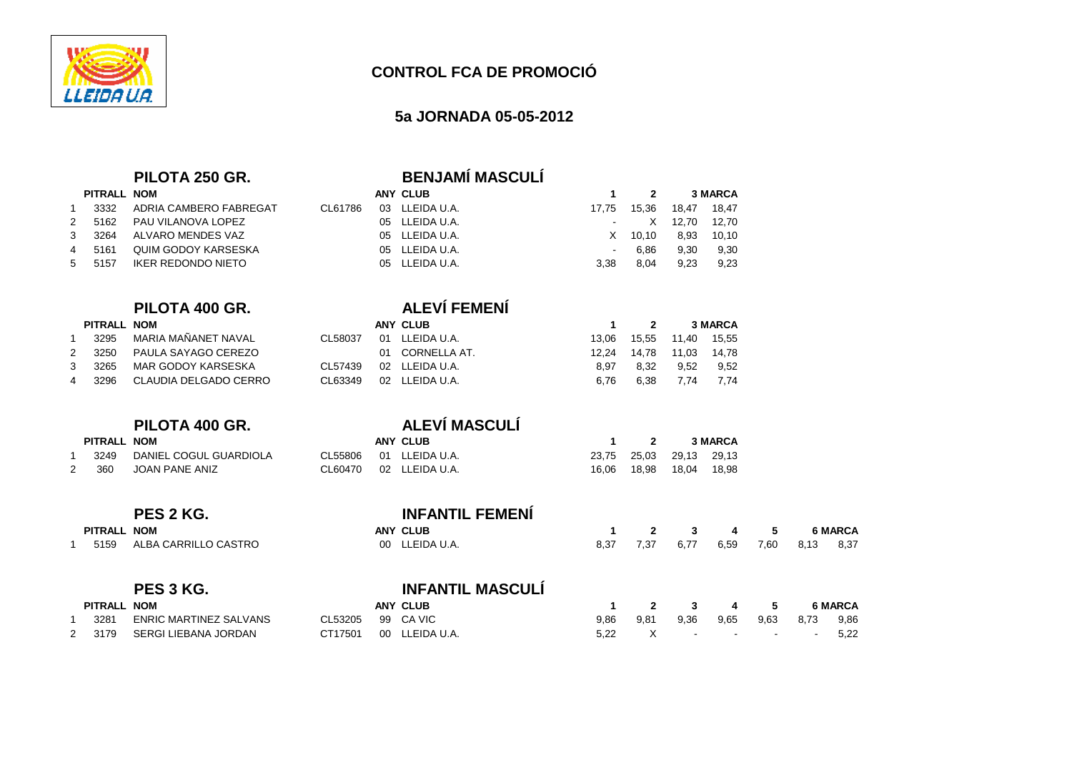

## **CONTROL FCA DE PROMOCIÓ**

## **5a JORNADA 05-05-2012**

|                |                    | PILOTA 250 GR.                |         |    | <b>BENJAMÍ MASCULÍ</b>  |                |              |             |                |      |      |                |
|----------------|--------------------|-------------------------------|---------|----|-------------------------|----------------|--------------|-------------|----------------|------|------|----------------|
|                | PITRALL NOM        |                               |         |    | <b>ANY CLUB</b>         | $\mathbf{1}$   | $\mathbf{2}$ |             | <b>3 MARCA</b> |      |      |                |
| $\mathbf{1}$   | 3332               | ADRIA CAMBERO FABREGAT        | CL61786 |    | 03 LLEIDA U.A.          | 17,75          | 15,36        | 18,47       | 18,47          |      |      |                |
| 2              | 5162               | PAU VILANOVA LOPEZ            |         |    | 05 LLEIDA U.A.          |                | X            | 12,70       | 12,70          |      |      |                |
| 3              | 3264               | <b>ALVARO MENDES VAZ</b>      |         |    | 05 LLEIDA U.A.          | X              | 10, 10       | 8,93        | 10, 10         |      |      |                |
| $\overline{4}$ | 5161               | <b>QUIM GODOY KARSESKA</b>    |         | 05 | LLEIDA U.A.             | $\blacksquare$ | 6,86         | 9,30        | 9,30           |      |      |                |
| 5              | 5157               | <b>IKER REDONDO NIETO</b>     |         |    | 05 LLEIDA U.A.          | 3,38           | 8,04         | 9.23        | 9,23           |      |      |                |
|                |                    | PILOTA 400 GR.                |         |    | <b>ALEVÍ FEMENÍ</b>     |                |              |             |                |      |      |                |
|                | <b>PITRALL NOM</b> |                               |         |    | <b>ANY CLUB</b>         | $\mathbf{1}$   | $\mathbf{2}$ |             | <b>3 MARCA</b> |      |      |                |
| $\mathbf{1}$   | 3295               | MARIA MAÑANET NAVAL           | CL58037 |    | 01 LLEIDA U.A.          | 13,06          | 15,55        | 11,40       | 15,55          |      |      |                |
| $\overline{2}$ | 3250               | PAULA SAYAGO CEREZO           |         |    | 01 CORNELLA AT.         | 12,24          | 14,78        | 11,03 14,78 |                |      |      |                |
| 3              | 3265               | MAR GODOY KARSESKA            | CL57439 |    | 02 LLEIDA U.A.          | 8,97           | 8,32         | 9,52        | 9,52           |      |      |                |
| 4              | 3296               | CLAUDIA DELGADO CERRO         | CL63349 |    | 02 LLEIDA U.A.          | 6.76           | 6,38         | 7,74        | 7.74           |      |      |                |
|                |                    |                               |         |    |                         |                |              |             |                |      |      |                |
|                |                    | PILOTA 400 GR.                |         |    | ALEVÍ MASCULÍ           |                |              |             |                |      |      |                |
|                | PITRALL NOM        |                               |         |    | <b>ANY CLUB</b>         | -1             | 2            |             | <b>3 MARCA</b> |      |      |                |
| -1             | 3249               | DANIEL COGUL GUARDIOLA        | CL55806 |    | 01 LLEIDA U.A.          | 23,75          | 25,03        | 29,13 29,13 |                |      |      |                |
| 2              | 360                | JOAN PANE ANIZ                | CL60470 |    | 02 LLEIDA U.A.          | 16,06          | 18,98        | 18,04 18,98 |                |      |      |                |
|                |                    |                               |         |    |                         |                |              |             |                |      |      |                |
|                |                    | PES 2 KG.                     |         |    | <b>INFANTIL FEMENÍ</b>  |                |              |             |                |      |      |                |
|                | PITRALL NOM        |                               |         |    | <b>ANY CLUB</b>         | $\mathbf 1$    | $\mathbf{2}$ | 3           | 4              | 5    |      | <b>6 MARCA</b> |
| 1              | 5159               | ALBA CARRILLO CASTRO          |         |    | 00 LLEIDA U.A.          | 8,37           | 7,37         | 6,77        | 6,59           | 7,60 | 8,13 | 8,37           |
|                |                    | PES 3 KG.                     |         |    | <b>INFANTIL MASCULÍ</b> |                |              |             |                |      |      |                |
|                | PITRALL NOM        |                               |         |    | <b>ANY CLUB</b>         | $\mathbf{1}$   | $\mathbf{2}$ | 3           | 4              | 5    |      | <b>6 MARCA</b> |
| $\mathbf 1$    | 3281               | <b>ENRIC MARTINEZ SALVANS</b> | CL53205 |    | 99 CA VIC               | 9,86           | 9,81         | 9,36        | 9,65           | 9,63 | 8,73 | 9,86           |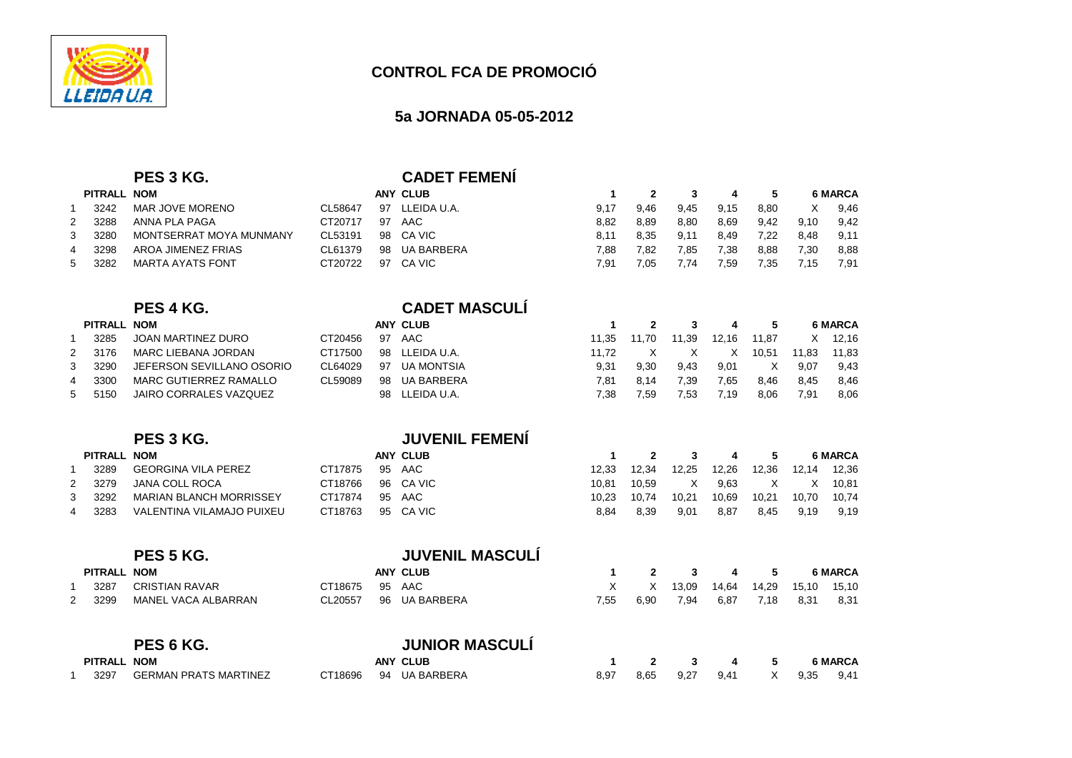

## **5a JORNADA 05-05-2012**

C 7,91 7,05 7,74 7,59 7,35 7,15 7,91

## **PES 3 KG.**<br> **CADET FEMENÍ**<br> **ANY CLUB PITRALL NOM**

| <b>PITRALL</b> |      | <b>NOM</b>              | ANY CLUB |    |             |      |      |      |      |      | <b>6 MARCA</b> |      |
|----------------|------|-------------------------|----------|----|-------------|------|------|------|------|------|----------------|------|
|                | 3242 | MAR JOVE MORENO         | CL58647  | 97 | LLEIDA U.A. | 9.17 | 9.46 | 9.45 | 9.15 | 8.80 |                | 9.46 |
| 2              | 3288 | ANNA PLA PAGA           | CT20717  | 97 | AAC         | 8.82 | 8.89 | 8,80 | 8,69 | 9.42 | 9.10           | 9.42 |
| 3              | 3280 | MONTSERRAT MOYA MUNMANY | CL53191  |    | 98 CA VIC   | 8.11 | 8.35 | 9.11 | 8.49 | 7.22 | 8.48           | 9.11 |
| 4              | 3298 | AROA JIMENEZ FRIAS      | CL61379  | 98 | UA BARBERA  | 7.88 | 7.82 | 7.85 | 7,38 | 8,88 | 7.30           | 8,88 |
| 5              | 3282 | MARTA AYATS FONT        | CT20722  | 97 | CA VIC      | 7.91 | 7.05 | 7.74 | 7.59 | 7.35 |                | 7,91 |

## **PES 4 KG. CADET MASCULÍ**

|   | <b>PITRALL</b> | <b>NOM</b>                |         |    | ANY CLUB       |       |       | 2     |       |       |       | <b>6 MARCA</b> |
|---|----------------|---------------------------|---------|----|----------------|-------|-------|-------|-------|-------|-------|----------------|
|   | 3285           | JOAN MARTINEZ DURO        | CT20456 | 97 | AAC            | 11.35 | 11.70 | 11.39 | 12.16 | 11.87 | X     | 12.16          |
| 2 | 3176           | MARC LIEBANA JORDAN       | CT17500 |    | 98 LLEIDA U.A. | 11.72 |       |       |       | 10.51 | 11.83 | 11.83          |
| 3 | 3290           | JEFERSON SEVILLANO OSORIO | CL64029 | 97 | UA MONTSIA     | 9.31  | 9.30  | 9.43  | 9,01  |       | 9.07  | 9.43           |
| 4 | 3300           | MARC GUTIERREZ RAMALLO    | CL59089 | 98 | UA BARBERA     | 7.81  | 8.14  | 7.39  | 7,65  | 8.46  | 8.45  | 8.46           |
| 5 | 5150           | JAIRO CORRALES VAZQUEZ    |         |    | 98 LLEIDA U.A. | 7.38  | 7.59  | 7.53  | 7.19  | 8,06  | 7.91  | 8,06           |

## **PUVENIL FEMENÍ**<br>ANY CLUB **PITRALL NOM ANY CLUB <sup>1</sup> <sup>2</sup> <sup>3</sup> <sup>4</sup> <sup>5</sup> <sup>6</sup> MARCA** <sup>1</sup> 3289 GEORGINA VILA PEREZ CT17875 95 AAC 12,33 12,34 12,25 12,26 12,36 12,14 12,36 2 3279 JANA COLL ROCA CT18766 96 CA VIC 10,81 10,59 X 9,63 X X X 10,81<br>10,70 10,74 3 3292 MARIAN BLANCH MORRISSEY CT17874 95 AAC 10,23 10,74 10,21 10,69 10,21 10,70 10,74 <sup>4</sup> 3283 VALENTINA VILAMAJO PUIXEU CT18763 95 CA VIC8,84 8,39 9,01 8,87 8,45 9,19 9,19

|             | PES 5 KG.             |         |    | <b>JUVENIL MASCULÍ</b> |      |      |       |       |       |       |                |
|-------------|-----------------------|---------|----|------------------------|------|------|-------|-------|-------|-------|----------------|
| PITRALL NOM |                       |         |    | ANY CLUB               |      |      | 3     | 4     | 5.    |       | <b>6 MARCA</b> |
| 3287        | <b>CRISTIAN RAVAR</b> | CT18675 | 95 | AAC                    | X    | X    | 13,09 | 14,64 | 14,29 | 15,10 | 15,10          |
| 3299        | MANEL VACA ALBARRAN   | CL20557 |    | 96 UA BARBERA          | 7,55 | 6,90 | 7,94  | 6,87  | 7,18  | 8,31  | 8,31           |
|             | DES 6 KG              |         |    | <b>ILINIOR MASCULÍ</b> |      |      |       |       |       |       |                |

|         | . בסיו עם                    |         | <u>UUINUIN INAUUULI</u> |      |      |      |      |      |                |
|---------|------------------------------|---------|-------------------------|------|------|------|------|------|----------------|
| PITRALL | <b>NOM</b>                   |         | <b>ANY CLUB</b>         |      |      |      | 4    |      | <b>6 MARCA</b> |
| 3297    | <b>GERMAN PRATS MARTINEZ</b> | CT18696 | 94 UA BARBERA           | 8.97 | 8.65 | 9.27 | 9.41 | 9.35 | 9.41           |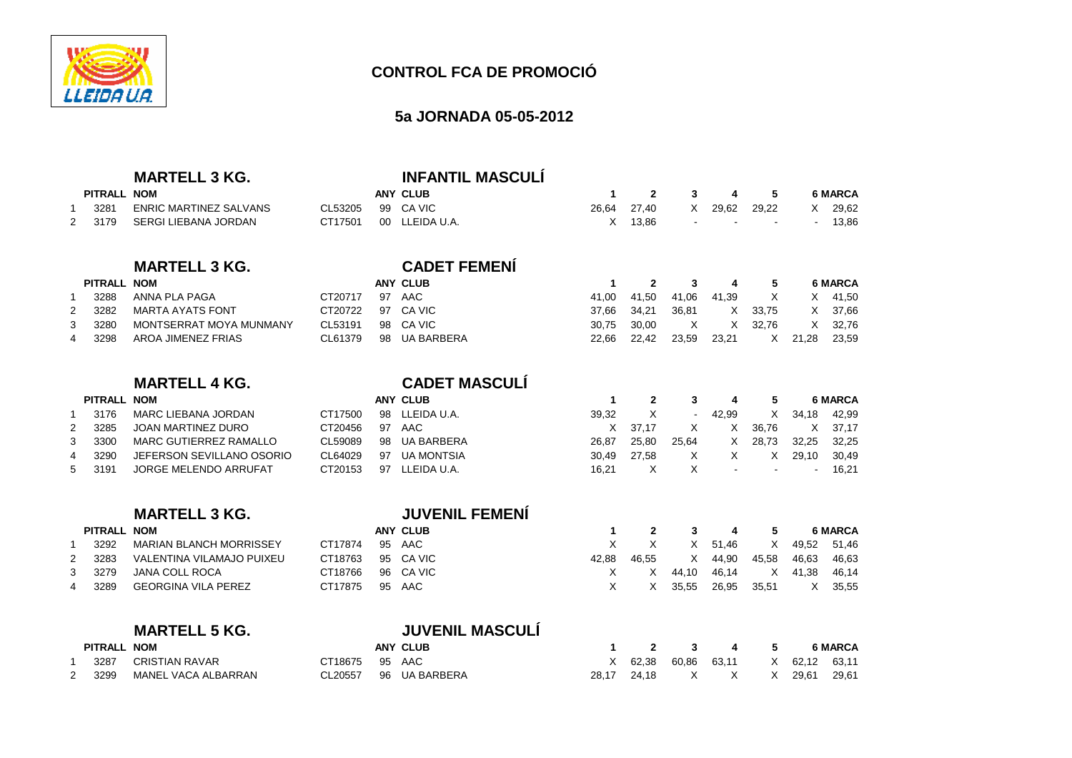

## **CONTROL FCA DE PROMOCIÓ**

## **5a JORNADA 05-05-2012**

## **MARTELL 3 KG. INFANTIL MASCULÍ**

|             | ---- -- - - - - - - - - - - - |                   | ---- - - - - - - - - - - - - - - - - - |           |  |                           |                |
|-------------|-------------------------------|-------------------|----------------------------------------|-----------|--|---------------------------|----------------|
| PITRALL NOM |                               |                   | ANY CLUB                               | 1 2 3 4 5 |  |                           | <b>6 MARCA</b> |
| 3281        | ENRIC MARTINEZ SALVANS        | CL53205 99 CA VIC |                                        |           |  | 26.64 27.40 X 29.62 29.22 | X 29.62        |
|             | 2  3179  SERGI LIEBANA JORDAN |                   | CT17501 00 LLEIDA U.A.                 |           |  | $X$ 13.86 $   -$          | 13,86          |

## **MARTELL 3 KG. CADET FEMENÍ**

|                | PITRALL NOM |                         |                   | <b>ANY CLUB</b> |       | 1 2 3 4 5                         |              |       |         |         | <b>6 MARCA</b> |
|----------------|-------------|-------------------------|-------------------|-----------------|-------|-----------------------------------|--------------|-------|---------|---------|----------------|
|                | 3288        | ANNA PLA PAGA           | CT20717 97 AAC    |                 |       | 41,00 41,50 41,06 41,39 X X 41,50 |              |       |         |         |                |
| 2              | 3282        | MARTA AYATS FONT        | CT20722 97 CA VIC |                 |       | 37.66 34.21                       | 36.81        |       | X 33.75 |         | X 37.66        |
| 3              | 3280        | MONTSERRAT MOYA MUNMANY | CL53191           | 98 CA VIC       |       | 30.75 30.00                       | $\mathsf{X}$ |       | X 32.76 |         | X 32,76        |
| $\overline{4}$ | 3298        | AROA JIMENEZ FRIAS      | CL61379           | 98 UA BARBERA   | 22.66 | 22.42                             | 23.59        | 23.21 |         | X 21.28 | 23,59          |

## **MARTELL 4 KG.**

## **PITRALL NOM ANY CLUB <sup>1</sup> <sup>2</sup> <sup>3</sup> <sup>4</sup> <sup>5</sup> <sup>6</sup> MARCA** <sup>1</sup> 3176 MARC LIEBANA JORDAN CT17500 98 LLEIDA U.A. 39,32 X - 42,99 X 34,18 42,99<sup>2</sup> 3285 JOAN MARTINEZ DURO CT20456 97 AAC <sup>X</sup> 37,17 <sup>X</sup> <sup>X</sup> 36,76 <sup>X</sup> 37,17 3 3300 MARC GUTIERREZ RAMALLO CL59089 98 UA BARBERA 26,87 25,80 25,64 <sup>X</sup> 28,73 32,25 32,25 4 3290 JEFERSON SEVILLANO OSORIO CL64029 97 UA MONTSIA 1  $X$   $X$  - - - - 16,21 5 3191 JORGE MELENDO ARRUFAT CT20153 97 LLEIDA U.A. 16.21

**CADET MASCULÍ**

| <b>MARTELL 3 KG.</b> |  |
|----------------------|--|
|----------------------|--|

|   | PITRALL NOM |                           |                   | ANY CLUB  |       |       |                     |         | 2 3 4 5             |               | 6 MARCA |
|---|-------------|---------------------------|-------------------|-----------|-------|-------|---------------------|---------|---------------------|---------------|---------|
|   | 3292        | MARIAN BLANCH MORRISSEY   | CT17874           | 95 AAC    |       |       |                     | X 51.46 |                     | X 49,52 51,46 |         |
| 2 | 3283        | VALENTINA VILAMAJO PUIXEU | CT18763 95 CA VIC |           | 42.88 | 46.55 |                     | X 44,90 | 45.58               | 46.63         | 46,63   |
|   | 3 3279      | JANA COLL ROCA            | CT18766           | 96 CA VIC |       | X     | 44.10               |         | 46,14 X 41,38 46,14 |               |         |
|   | 4 3289      | GEORGINA VILA PEREZ       | CT17875 95 AAC    |           |       |       | X 35,55 26,95 35,51 |         |                     | لى بى X كەنت  | 35,55   |
|   |             |                           |                   |           |       |       |                     |         |                     |               |         |

**MARTELL 3 KG. JUVENIL FEMENÍ**

| PITRALL NOM |                       |                |         | <b>ANY CLU</b> |
|-------------|-----------------------|----------------|---------|----------------|
|             | 1 3287 CRISTIAN RAVAR | CT18675 95 AAC |         |                |
| 2 3299      | MANEL VACA ALBARRAN   | CL20557        | 96 UA B |                |

# **MARTELL 5 KG.**<br> **MARTELL 5 KG.**<br> **ANY CLUB**

| PITRALL NOM |                            |                | ANY CLUB              |  | 2 3 4 5                           |  | 6 MARCA |
|-------------|----------------------------|----------------|-----------------------|--|-----------------------------------|--|---------|
|             | 3287       CRISTIAN RAVAR  | CT18675 95 AAC |                       |  | X 62,38 60,86 63,11 X 62,12 63,11 |  |         |
|             | 3299   MANEL VACA ALBARRAN |                | CL20557 96 UA BARBERA |  | 28,17 24,18 X X X 29,61 29,61     |  |         |

 $X = 37,17$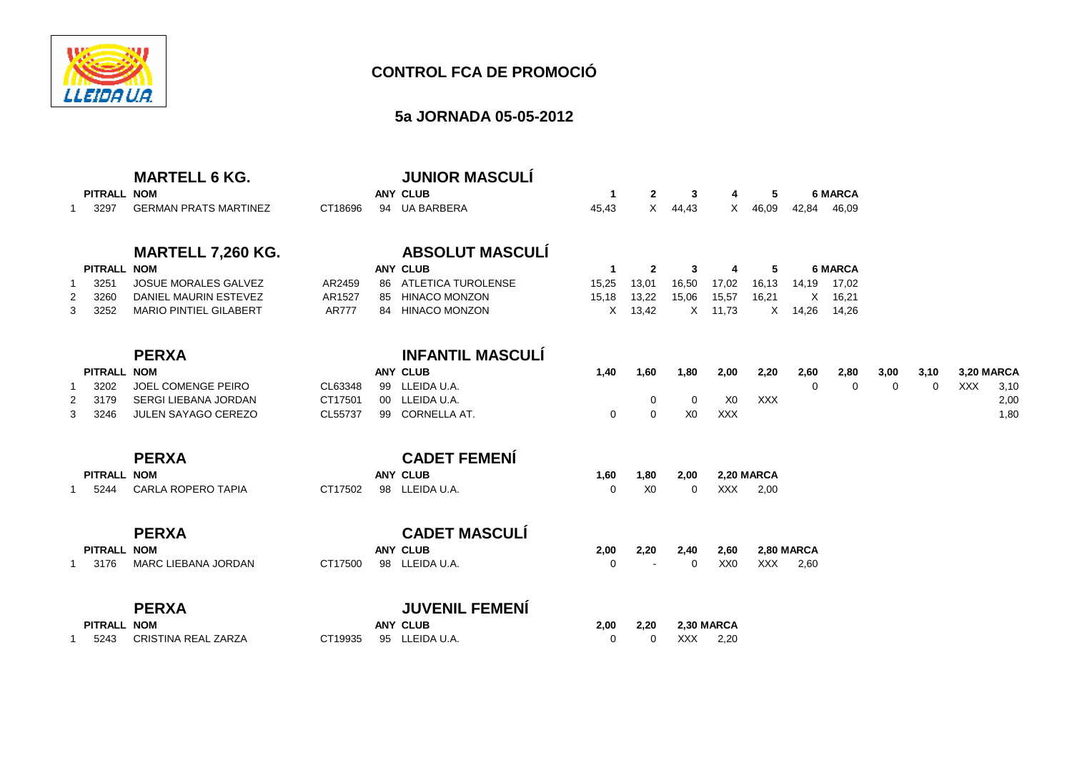

## **5a JORNADA 05-05-2012**

| <b>GERMAN PRATS MARTINEZ</b><br>3297                                                                                                                               | CT18696                          | <b>ANY CLUB</b><br>94 UA BARBERA                                                                           | $\mathbf{1}$<br>45,43               | $\mathbf{2}$<br>X                       | 3<br>44,43                               | 4<br>X                        | 5<br>46,09               | 42,84                      | <b>6 MARCA</b><br>46,09                   |           |                  |                                 |                      |
|--------------------------------------------------------------------------------------------------------------------------------------------------------------------|----------------------------------|------------------------------------------------------------------------------------------------------------|-------------------------------------|-----------------------------------------|------------------------------------------|-------------------------------|--------------------------|----------------------------|-------------------------------------------|-----------|------------------|---------------------------------|----------------------|
| <b>MARTELL 7,260 KG.</b><br>PITRALL NOM<br><b>JOSUE MORALES GALVEZ</b><br>3251<br>DANIEL MAURIN ESTEVEZ<br>3260<br>2<br><b>MARIO PINTIEL GILABERT</b><br>3252<br>3 | AR2459<br>AR1527<br><b>AR777</b> | <b>ABSOLUT MASCULÍ</b><br><b>ANY CLUB</b><br>86 ATLETICA TUROLENSE<br>85 HINACO MONZON<br>84 HINACO MONZON | $\mathbf 1$<br>15,25<br>15,18<br>X. | $\mathbf{2}$<br>13,01<br>13,22<br>13,42 | 3<br>16,50<br>15,06<br>X                 | 4<br>17,02<br>15,57<br>11,73  | 5<br>16,13<br>16,21<br>X | 14,19<br>$\times$<br>14,26 | <b>6 MARCA</b><br>17,02<br>16,21<br>14,26 |           |                  |                                 |                      |
| <b>PERXA</b><br>PITRALL NOM<br><b>JOEL COMENGE PEIRO</b><br>3202<br><b>SERGI LIEBANA JORDAN</b><br>3179<br>JULEN SAYAGO CEREZO<br>3<br>3246                        | CL63348<br>CT17501<br>CL55737    | <b>INFANTIL MASCULÍ</b><br><b>ANY CLUB</b><br>99 LLEIDA U.A.<br>00 LLEIDA U.A.<br>99 CORNELLA AT.          | 1,40<br>0                           | 1,60<br>0<br>$\mathbf 0$                | 1,80<br>$\overline{0}$<br>X <sub>0</sub> | 2,00<br>X <sub>0</sub><br>XXX | 2,20<br><b>XXX</b>       | 2,60<br>$\Omega$           | 2,80<br>$\Omega$                          | 3,00<br>0 | 3,10<br>$\Omega$ | <b>3,20 MARCA</b><br><b>XXX</b> | 3,10<br>2,00<br>1,80 |
| <b>PERXA</b><br>PITRALL NOM<br>CARLA ROPERO TAPIA<br>5244                                                                                                          | CT17502                          | <b>CADET FEMENÍ</b><br><b>ANY CLUB</b><br>98 LLEIDA U.A.                                                   | 1,60<br>0                           | 1,80<br>X <sub>0</sub>                  | 2,00<br>$\mathbf 0$                      | <b>XXX</b>                    | 2,20 MARCA<br>2,00       |                            |                                           |           |                  |                                 |                      |
| <b>PERXA</b><br>PITRALL NOM<br>MARC LIEBANA JORDAN<br>3176<br><b>PERXA</b>                                                                                         | CT17500                          | <b>CADET MASCULÍ</b><br><b>ANY CLUB</b><br>98 LLEIDA U.A.<br><b>JUVENIL FEMENI</b>                         | 2,00<br>0                           | 2,20                                    | 2,40<br>0                                | 2,60<br>XX <sub>0</sub>       | <b>XXX</b>               | 2,80 MARCA<br>2,60         |                                           |           |                  |                                 |                      |

| PITRALL NOM |                               | ANY CLUB               | 2,00 2,20 2,30 MARCA |       |      |
|-------------|-------------------------------|------------------------|----------------------|-------|------|
|             | 5243      CRISTINA REAL ZARZA | CT19935 95 LLEIDA U.A. |                      | 0 XXX | 2.20 |